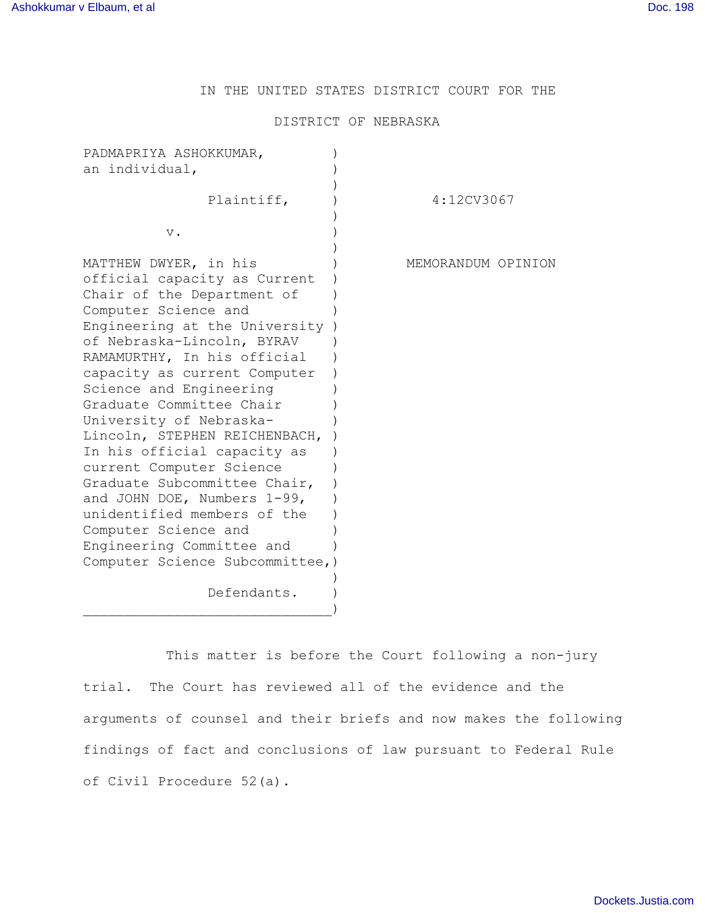IN THE UNITED STATES DISTRICT COURT FOR THE

# DISTRICT OF NEBRASKA

| PADMAPRIYA ASHOKKUMAR,<br>an individual,                                                                                                                                                                                                                                                                                                                                                                                                                                                                                                                                                                                      |                    |
|-------------------------------------------------------------------------------------------------------------------------------------------------------------------------------------------------------------------------------------------------------------------------------------------------------------------------------------------------------------------------------------------------------------------------------------------------------------------------------------------------------------------------------------------------------------------------------------------------------------------------------|--------------------|
| Plaintiff,                                                                                                                                                                                                                                                                                                                                                                                                                                                                                                                                                                                                                    | 4:12CV3067         |
| $V$ .                                                                                                                                                                                                                                                                                                                                                                                                                                                                                                                                                                                                                         |                    |
| MATTHEW DWYER, in his<br>official capacity as Current<br>Chair of the Department of<br>Computer Science and<br>Engineering at the University<br>of Nebraska-Lincoln, BYRAV<br>RAMAMURTHY, In his official<br>capacity as current Computer<br>Science and Engineering<br>Graduate Committee Chair<br>University of Nebraska-<br>Lincoln, STEPHEN REICHENBACH,<br>In his official capacity as<br>current Computer Science<br>Graduate Subcommittee Chair,<br>and JOHN DOE, Numbers 1-99,<br>unidentified members of the<br>Computer Science and<br>Engineering Committee and<br>Computer Science Subcommittee, )<br>Defendants. | MEMORANDUM OPINION |
|                                                                                                                                                                                                                                                                                                                                                                                                                                                                                                                                                                                                                               |                    |

This matter is before the Court following a non-jury trial. The Court has reviewed all of the evidence and the arguments of counsel and their briefs and now makes the following findings of fact and conclusions of law pursuant to Federal Rule of Civil Procedure 52(a).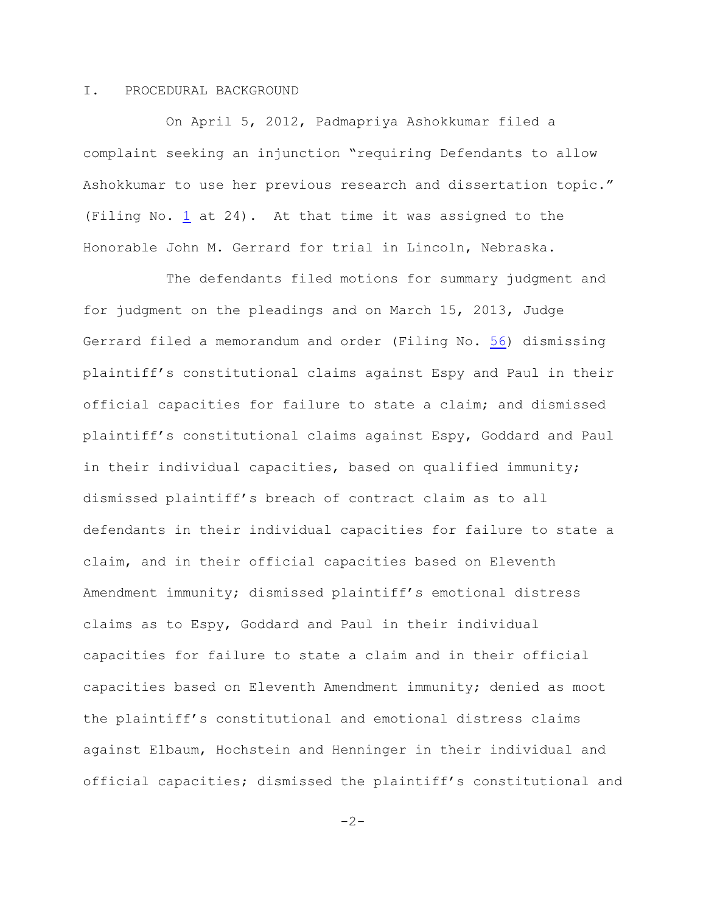### I. PROCEDURAL BACKGROUND

On April 5, 2012, Padmapriya Ashokkumar filed a complaint seeking an injunction "requiring Defendants to allow Ashokkumar to use her previous research and dissertation topic." (Filing No. [1](http://ecf.ned.uscourts.gov/doc1/11312497991) at 24). At that time it was assigned to the Honorable John M. Gerrard for trial in Lincoln, Nebraska.

The defendants filed motions for summary judgment and for judgment on the pleadings and on March 15, 2013, Judge Gerrard filed a memorandum and order (Filing No. [56](http://ecf.ned.uscourts.gov/doc1/11312740057)) dismissing plaintiff's constitutional claims against Espy and Paul in their official capacities for failure to state a claim; and dismissed plaintiff's constitutional claims against Espy, Goddard and Paul in their individual capacities, based on qualified immunity; dismissed plaintiff's breach of contract claim as to all defendants in their individual capacities for failure to state a claim, and in their official capacities based on Eleventh Amendment immunity; dismissed plaintiff's emotional distress claims as to Espy, Goddard and Paul in their individual capacities for failure to state a claim and in their official capacities based on Eleventh Amendment immunity; denied as moot the plaintiff's constitutional and emotional distress claims against Elbaum, Hochstein and Henninger in their individual and official capacities; dismissed the plaintiff's constitutional and

 $-2-$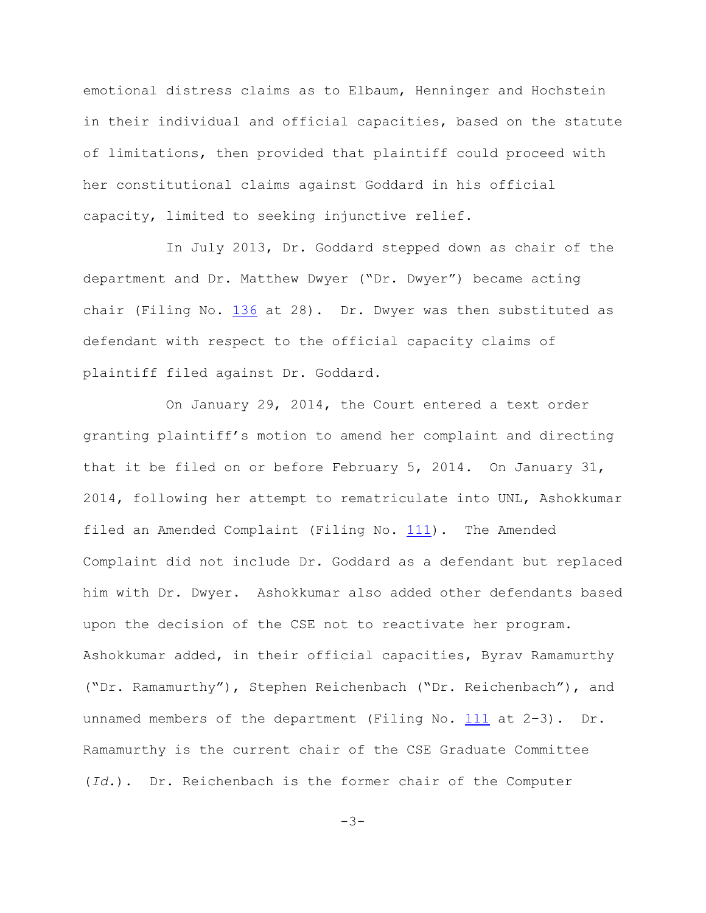emotional distress claims as to Elbaum, Henninger and Hochstein in their individual and official capacities, based on the statute of limitations, then provided that plaintiff could proceed with her constitutional claims against Goddard in his official capacity, limited to seeking injunctive relief.

In July 2013, Dr. Goddard stepped down as chair of the department and Dr. Matthew Dwyer ("Dr. Dwyer") became acting chair (Filing No. [136](http://ecf.ned.uscourts.gov/doc1/11313015214) at 28). Dr. Dwyer was then substituted as defendant with respect to the official capacity claims of plaintiff filed against Dr. Goddard.

On January 29, 2014, the Court entered a text order granting plaintiff's motion to amend her complaint and directing that it be filed on or before February 5, 2014. On January 31, 2014, following her attempt to rematriculate into UNL, Ashokkumar filed an Amended Complaint (Filing No. [111](http://ecf.ned.uscourts.gov/doc1/11312954689)). The Amended Complaint did not include Dr. Goddard as a defendant but replaced him with Dr. Dwyer. Ashokkumar also added other defendants based upon the decision of the CSE not to reactivate her program. Ashokkumar added, in their official capacities, Byrav Ramamurthy ("Dr. Ramamurthy"), Stephen Reichenbach ("Dr. Reichenbach"), and unnamed members of the department (Filing No. [111](http://ecf.ned.uscourts.gov/doc1/11312954689) at 2–3). Dr. Ramamurthy is the current chair of the CSE Graduate Committee (*Id.*). Dr. Reichenbach is the former chair of the Computer

 $-3-$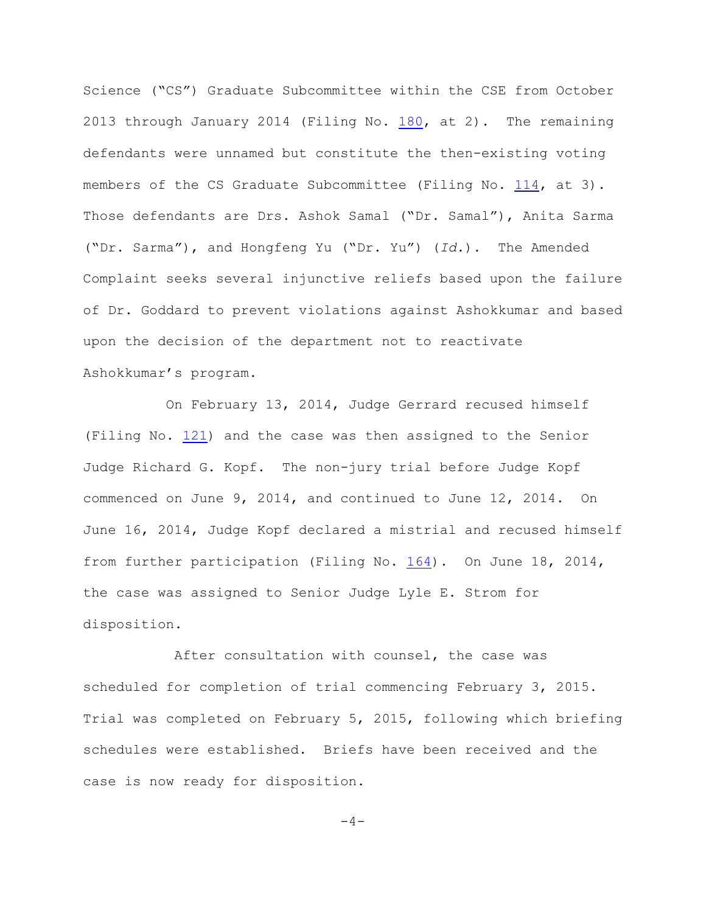Science ("CS") Graduate Subcommittee within the CSE from October 2013 through January 2014 (Filing No.  $180$ , at 2). The remaining defendants were unnamed but constitute the then-existing voting members of the CS Graduate Subcommittee (Filing No. [114](http://ecf.ned.uscourts.gov/doc1/11312956903), at 3). Those defendants are Drs. Ashok Samal ("Dr. Samal"), Anita Sarma ("Dr. Sarma"), and Hongfeng Yu ("Dr. Yu") (*Id.*). The Amended Complaint seeks several injunctive reliefs based upon the failure of Dr. Goddard to prevent violations against Ashokkumar and based upon the decision of the department not to reactivate Ashokkumar's program.

On February 13, 2014, Judge Gerrard recused himself (Filing No. [121](http://ecf.ned.uscourts.gov/doc1/11312963244)) and the case was then assigned to the Senior Judge Richard G. Kopf. The non-jury trial before Judge Kopf commenced on June 9, 2014, and continued to June 12, 2014. On June 16, 2014, Judge Kopf declared a mistrial and recused himself from further participation (Filing No. [164](http://ecf.ned.uscourts.gov/doc1/11313047934)). On June 18, 2014, the case was assigned to Senior Judge Lyle E. Strom for disposition.

 After consultation with counsel, the case was scheduled for completion of trial commencing February 3, 2015. Trial was completed on February 5, 2015, following which briefing schedules were established. Briefs have been received and the case is now ready for disposition.

 $-4-$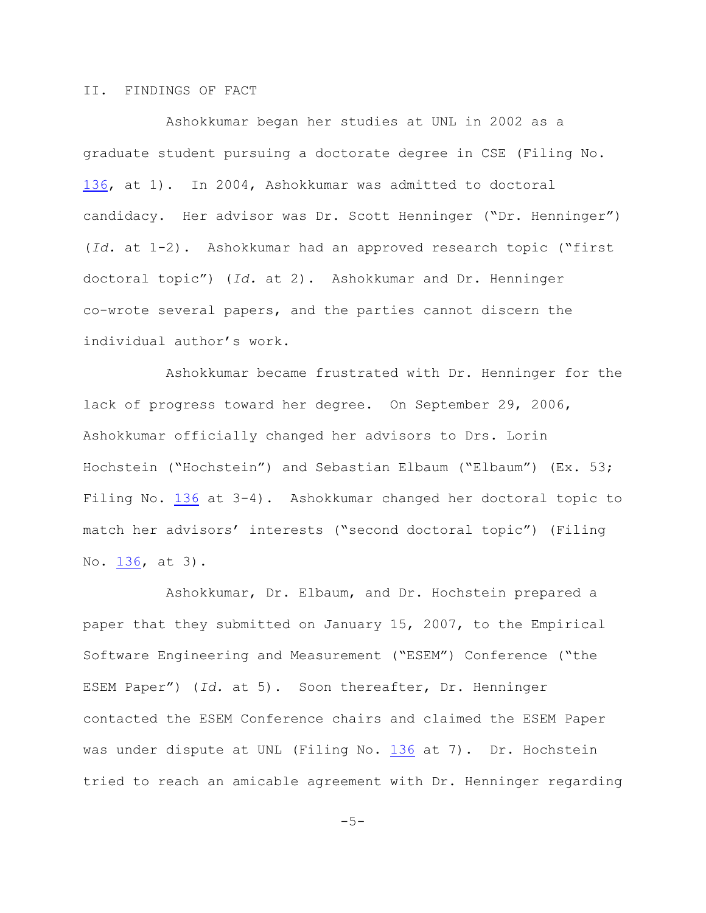# II. FINDINGS OF FACT

Ashokkumar began her studies at UNL in 2002 as a graduate student pursuing a doctorate degree in CSE (Filing No. [136](http://ecf.ned.uscourts.gov/doc1/11313015214), at 1). In 2004, Ashokkumar was admitted to doctoral candidacy. Her advisor was Dr. Scott Henninger ("Dr. Henninger") (*Id.* at 1-2). Ashokkumar had an approved research topic ("first doctoral topic") (*Id.* at 2). Ashokkumar and Dr. Henninger co-wrote several papers, and the parties cannot discern the individual author's work.

Ashokkumar became frustrated with Dr. Henninger for the lack of progress toward her degree. On September 29, 2006, Ashokkumar officially changed her advisors to Drs. Lorin Hochstein ("Hochstein") and Sebastian Elbaum ("Elbaum") (Ex. 53; Filing No. [136](http://ecf.ned.uscourts.gov/doc1/11313015214) at 3-4). Ashokkumar changed her doctoral topic to match her advisors' interests ("second doctoral topic") (Filing No. [136](http://ecf.ned.uscourts.gov/doc1/11313015214), at 3).

Ashokkumar, Dr. Elbaum, and Dr. Hochstein prepared a paper that they submitted on January 15, 2007, to the Empirical Software Engineering and Measurement ("ESEM") Conference ("the ESEM Paper") (*Id.* at 5). Soon thereafter, Dr. Henninger contacted the ESEM Conference chairs and claimed the ESEM Paper was under dispute at UNL (Filing No. [136](http://ecf.ned.uscourts.gov/doc1/11313015214) at 7). Dr. Hochstein tried to reach an amicable agreement with Dr. Henninger regarding

 $-5-$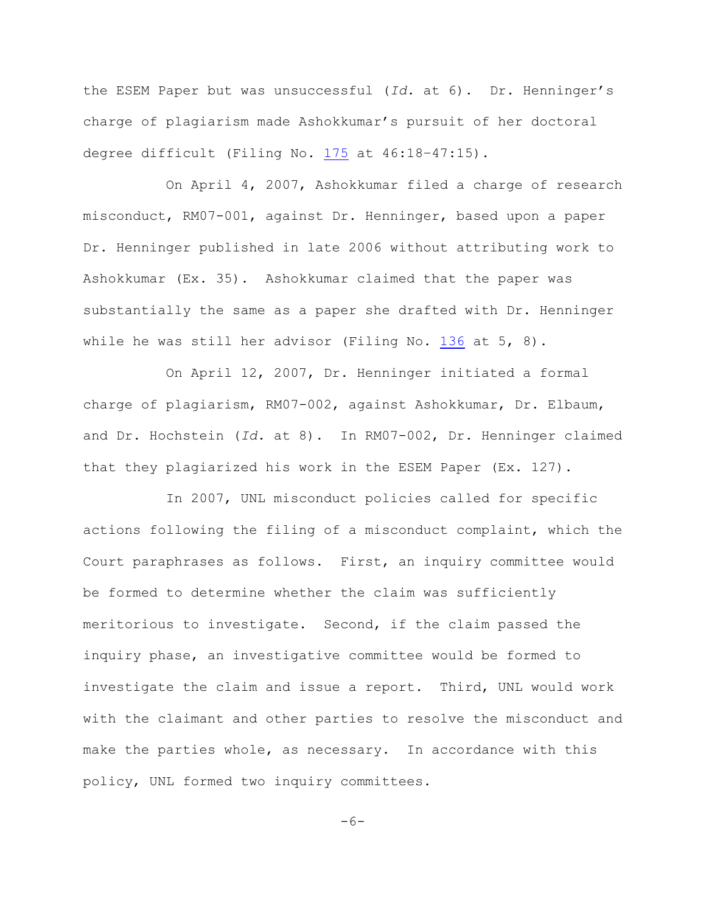the ESEM Paper but was unsuccessful (*Id.* at 6). Dr. Henninger's charge of plagiarism made Ashokkumar's pursuit of her doctoral degree difficult (Filing No. [175](http://ecf.ned.uscourts.gov/doc1/11313100233) at 46:18–47:15).

On April 4, 2007, Ashokkumar filed a charge of research misconduct, RM07-001, against Dr. Henninger, based upon a paper Dr. Henninger published in late 2006 without attributing work to Ashokkumar (Ex. 35). Ashokkumar claimed that the paper was substantially the same as a paper she drafted with Dr. Henninger while he was still her advisor (Filing No.  $136$  at 5, 8).

On April 12, 2007, Dr. Henninger initiated a formal charge of plagiarism, RM07-002, against Ashokkumar, Dr. Elbaum, and Dr. Hochstein (*Id.* at 8). In RM07-002, Dr. Henninger claimed that they plagiarized his work in the ESEM Paper (Ex. 127).

In 2007, UNL misconduct policies called for specific actions following the filing of a misconduct complaint, which the Court paraphrases as follows. First, an inquiry committee would be formed to determine whether the claim was sufficiently meritorious to investigate. Second, if the claim passed the inquiry phase, an investigative committee would be formed to investigate the claim and issue a report. Third, UNL would work with the claimant and other parties to resolve the misconduct and make the parties whole, as necessary. In accordance with this policy, UNL formed two inquiry committees.

 $-6-$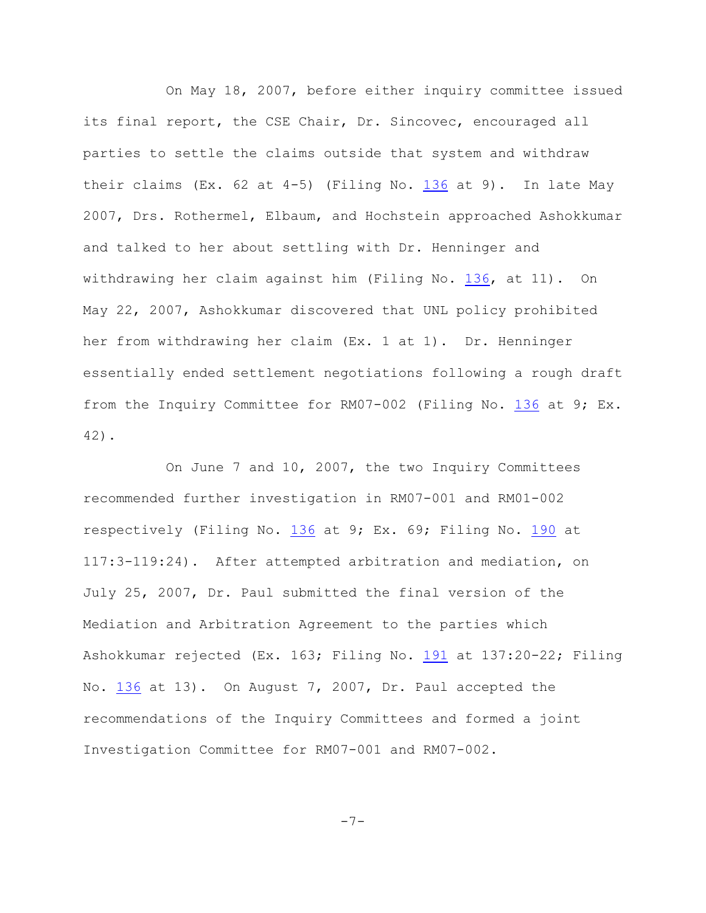On May 18, 2007, before either inquiry committee issued its final report, the CSE Chair, Dr. Sincovec, encouraged all parties to settle the claims outside that system and withdraw their claims  $(EX. 62 at 4-5)$  (Filing No. [136](http://ecf.ned.uscourts.gov/doc1/11313015214) at 9). In late May 2007, Drs. Rothermel, Elbaum, and Hochstein approached Ashokkumar and talked to her about settling with Dr. Henninger and withdrawing her claim against him (Filing No. [136](http://ecf.ned.uscourts.gov/doc1/11313015214), at 11). On May 22, 2007, Ashokkumar discovered that UNL policy prohibited her from withdrawing her claim (Ex. 1 at 1). Dr. Henninger essentially ended settlement negotiations following a rough draft from the Inquiry Committee for RM07-002 (Filing No. [136](http://ecf.ned.uscourts.gov/doc1/11313015214) at 9; Ex. 42).

On June 7 and 10, 2007, the two Inquiry Committees recommended further investigation in RM07-001 and RM01-002 respectively (Filing No. [136](http://ecf.ned.uscourts.gov/doc1/11313015214) at 9; Ex. 69; Filing No. [190](http://ecf.ned.uscourts.gov/doc1/11313212810) at 117:3-119:24). After attempted arbitration and mediation, on July 25, 2007, Dr. Paul submitted the final version of the Mediation and Arbitration Agreement to the parties which Ashokkumar rejected (Ex. 163; Filing No. [191](http://ecf.ned.uscourts.gov/doc1/11313212813) at 137:20-22; Filing No. [136](http://ecf.ned.uscourts.gov/doc1/11313015214) at 13). On August 7, 2007, Dr. Paul accepted the recommendations of the Inquiry Committees and formed a joint Investigation Committee for RM07-001 and RM07-002.

$$
-7- \nonumber\\
$$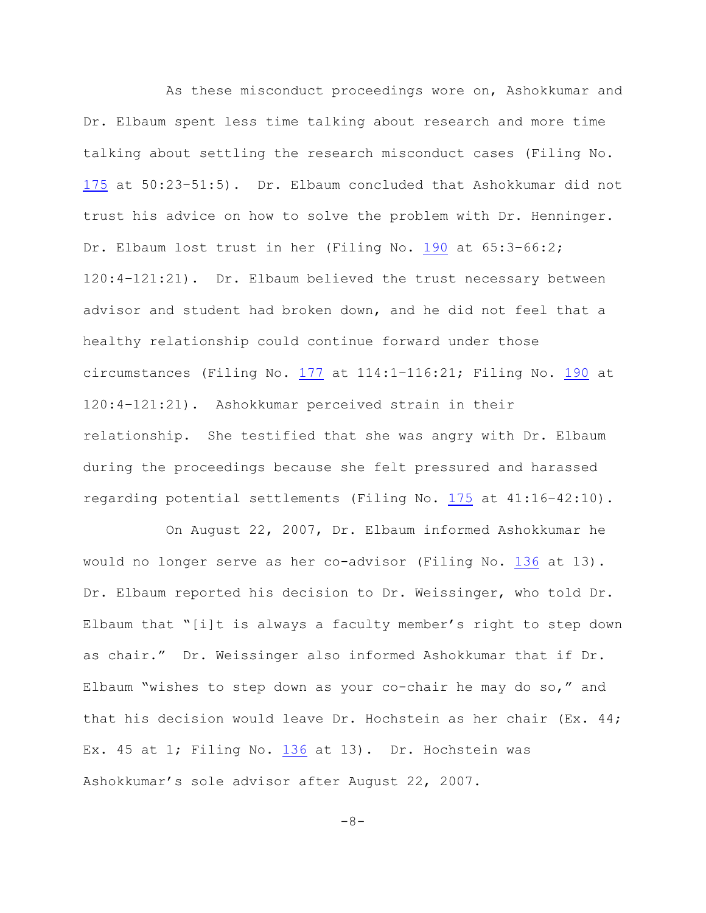As these misconduct proceedings wore on, Ashokkumar and Dr. Elbaum spent less time talking about research and more time talking about settling the research misconduct cases (Filing No. [175](http://ecf.ned.uscourts.gov/doc1/11313100233) at 50:23–51:5). Dr. Elbaum concluded that Ashokkumar did not trust his advice on how to solve the problem with Dr. Henninger. Dr. Elbaum lost trust in her (Filing No. [190](http://ecf.ned.uscourts.gov/doc1/11313212810) at 65:3–66:2; 120:4–121:21). Dr. Elbaum believed the trust necessary between advisor and student had broken down, and he did not feel that a healthy relationship could continue forward under those circumstances (Filing No. [177](http://ecf.ned.uscourts.gov/doc1/11313102461) at 114:1–116:21; Filing No. [190](http://ecf.ned.uscourts.gov/doc1/11313212810) at 120:4–121:21). Ashokkumar perceived strain in their relationship. She testified that she was angry with Dr. Elbaum during the proceedings because she felt pressured and harassed regarding potential settlements (Filing No. [175](http://ecf.ned.uscourts.gov/doc1/11313100233) at 41:16–42:10).

On August 22, 2007, Dr. Elbaum informed Ashokkumar he would no longer serve as her co-advisor (Filing No. [136](http://ecf.ned.uscourts.gov/doc1/11313015214) at 13). Dr. Elbaum reported his decision to Dr. Weissinger, who told Dr. Elbaum that "[i]t is always a faculty member's right to step down as chair." Dr. Weissinger also informed Ashokkumar that if Dr. Elbaum "wishes to step down as your co-chair he may do so," and that his decision would leave Dr. Hochstein as her chair (Ex. 44; Ex. 45 at 1; Filing No. [136](http://ecf.ned.uscourts.gov/doc1/11313015214) at 13). Dr. Hochstein was Ashokkumar's sole advisor after August 22, 2007.

-8-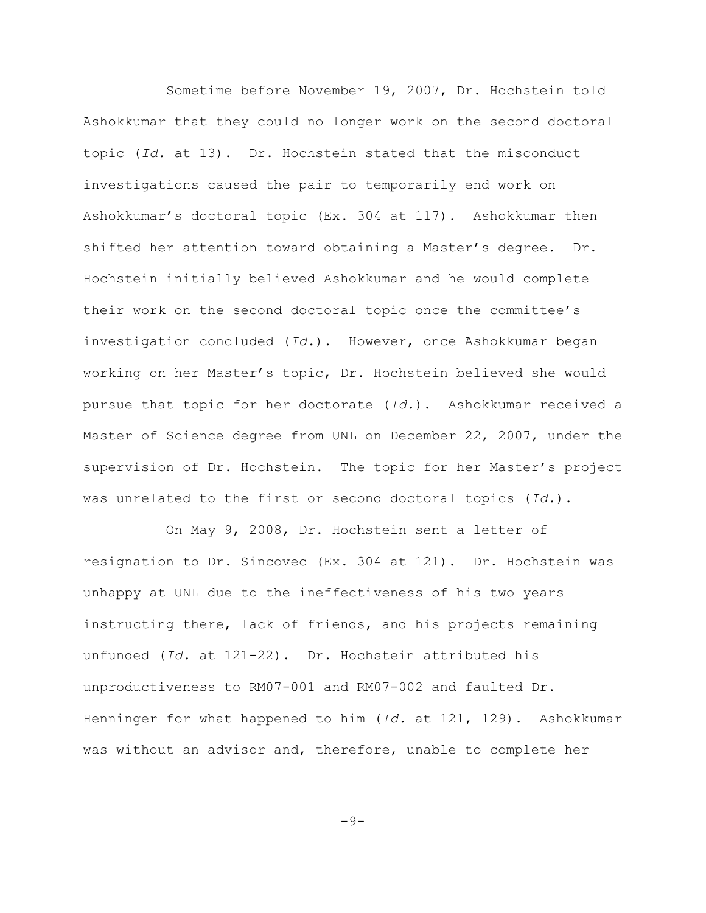Sometime before November 19, 2007, Dr. Hochstein told Ashokkumar that they could no longer work on the second doctoral topic (*Id.* at 13). Dr. Hochstein stated that the misconduct investigations caused the pair to temporarily end work on Ashokkumar's doctoral topic (Ex. 304 at 117). Ashokkumar then shifted her attention toward obtaining a Master's degree. Dr. Hochstein initially believed Ashokkumar and he would complete their work on the second doctoral topic once the committee's investigation concluded (*Id.*). However, once Ashokkumar began working on her Master's topic, Dr. Hochstein believed she would pursue that topic for her doctorate (*Id.*). Ashokkumar received a Master of Science degree from UNL on December 22, 2007, under the supervision of Dr. Hochstein. The topic for her Master's project was unrelated to the first or second doctoral topics (*Id.*).

On May 9, 2008, Dr. Hochstein sent a letter of resignation to Dr. Sincovec (Ex. 304 at 121). Dr. Hochstein was unhappy at UNL due to the ineffectiveness of his two years instructing there, lack of friends, and his projects remaining unfunded (*Id.* at 121-22). Dr. Hochstein attributed his unproductiveness to RM07-001 and RM07-002 and faulted Dr. Henninger for what happened to him (*Id.* at 121, 129). Ashokkumar was without an advisor and, therefore, unable to complete her

 $-9-$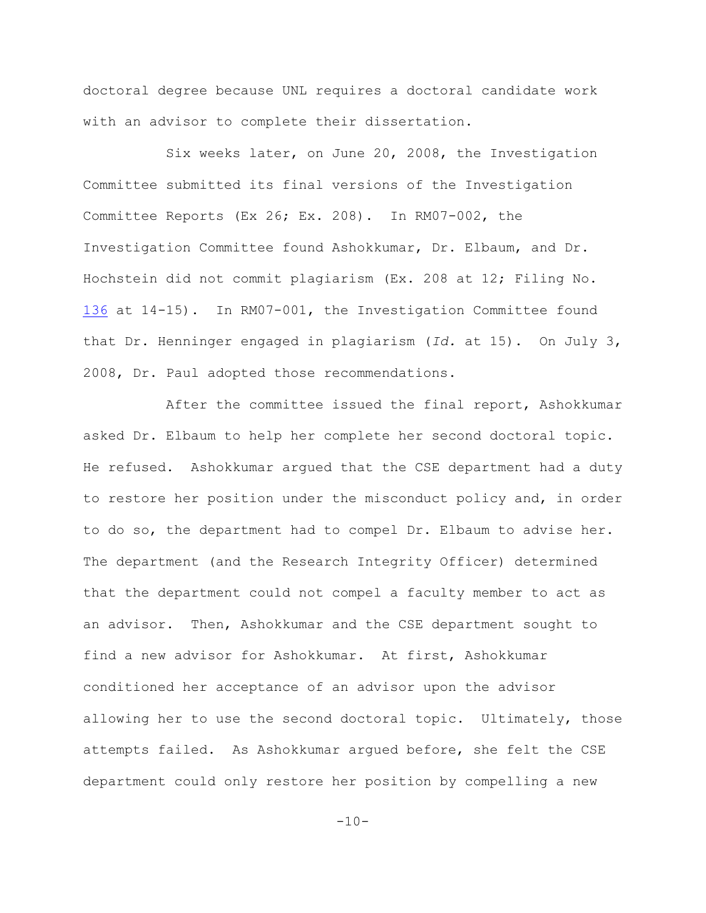doctoral degree because UNL requires a doctoral candidate work with an advisor to complete their dissertation.

Six weeks later, on June 20, 2008, the Investigation Committee submitted its final versions of the Investigation Committee Reports (Ex 26; Ex. 208). In RM07-002, the Investigation Committee found Ashokkumar, Dr. Elbaum, and Dr. Hochstein did not commit plagiarism (Ex. 208 at 12; Filing No. [136](http://ecf.ned.uscourts.gov/doc1/11313015214) at 14-15). In RM07-001, the Investigation Committee found that Dr. Henninger engaged in plagiarism (*Id.* at 15). On July 3, 2008, Dr. Paul adopted those recommendations.

After the committee issued the final report, Ashokkumar asked Dr. Elbaum to help her complete her second doctoral topic. He refused. Ashokkumar argued that the CSE department had a duty to restore her position under the misconduct policy and, in order to do so, the department had to compel Dr. Elbaum to advise her. The department (and the Research Integrity Officer) determined that the department could not compel a faculty member to act as an advisor. Then, Ashokkumar and the CSE department sought to find a new advisor for Ashokkumar. At first, Ashokkumar conditioned her acceptance of an advisor upon the advisor allowing her to use the second doctoral topic. Ultimately, those attempts failed. As Ashokkumar argued before, she felt the CSE department could only restore her position by compelling a new

 $-10-$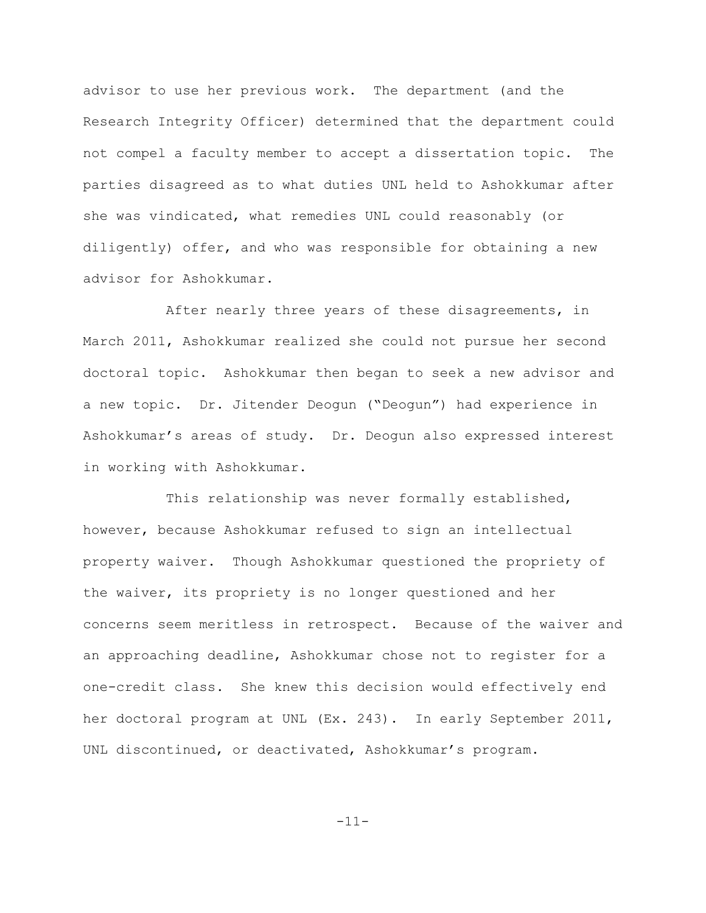advisor to use her previous work. The department (and the Research Integrity Officer) determined that the department could not compel a faculty member to accept a dissertation topic. The parties disagreed as to what duties UNL held to Ashokkumar after she was vindicated, what remedies UNL could reasonably (or diligently) offer, and who was responsible for obtaining a new advisor for Ashokkumar.

After nearly three years of these disagreements, in March 2011, Ashokkumar realized she could not pursue her second doctoral topic. Ashokkumar then began to seek a new advisor and a new topic. Dr. Jitender Deogun ("Deogun") had experience in Ashokkumar's areas of study. Dr. Deogun also expressed interest in working with Ashokkumar.

This relationship was never formally established, however, because Ashokkumar refused to sign an intellectual property waiver. Though Ashokkumar questioned the propriety of the waiver, its propriety is no longer questioned and her concerns seem meritless in retrospect. Because of the waiver and an approaching deadline, Ashokkumar chose not to register for a one-credit class. She knew this decision would effectively end her doctoral program at UNL (Ex. 243). In early September 2011, UNL discontinued, or deactivated, Ashokkumar's program.

-11-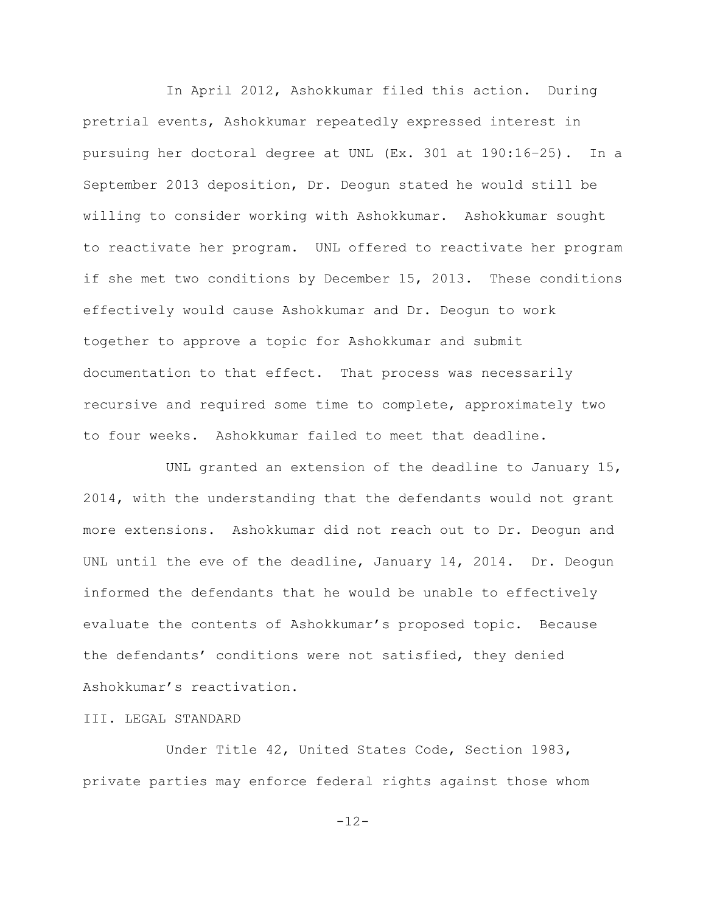In April 2012, Ashokkumar filed this action. During pretrial events, Ashokkumar repeatedly expressed interest in pursuing her doctoral degree at UNL (Ex. 301 at 190:16–25). In a September 2013 deposition, Dr. Deogun stated he would still be willing to consider working with Ashokkumar. Ashokkumar sought to reactivate her program. UNL offered to reactivate her program if she met two conditions by December 15, 2013. These conditions effectively would cause Ashokkumar and Dr. Deogun to work together to approve a topic for Ashokkumar and submit documentation to that effect. That process was necessarily recursive and required some time to complete, approximately two to four weeks. Ashokkumar failed to meet that deadline.

UNL granted an extension of the deadline to January 15, 2014, with the understanding that the defendants would not grant more extensions. Ashokkumar did not reach out to Dr. Deogun and UNL until the eve of the deadline, January 14, 2014. Dr. Deogun informed the defendants that he would be unable to effectively evaluate the contents of Ashokkumar's proposed topic. Because the defendants' conditions were not satisfied, they denied Ashokkumar's reactivation.

### III. LEGAL STANDARD

Under Title 42, United States Code, Section 1983, private parties may enforce federal rights against those whom

-12-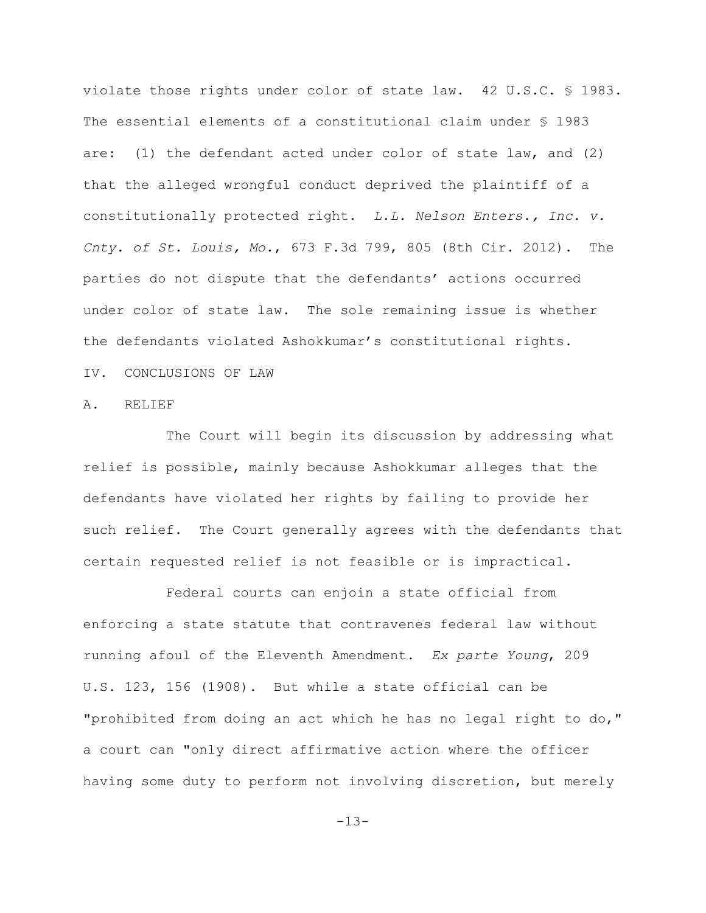violate those rights under color of state law. 42 U.S.C. § 1983. The essential elements of a constitutional claim under § 1983 are: (1) the defendant acted under color of state law, and (2) that the alleged wrongful conduct deprived the plaintiff of a constitutionally protected right. *L.L. Nelson Enters., Inc. v. Cnty. of St. Louis, Mo.*, 673 F.3d 799, 805 (8th Cir. 2012). The parties do not dispute that the defendants' actions occurred under color of state law. The sole remaining issue is whether the defendants violated Ashokkumar's constitutional rights. IV. CONCLUSIONS OF LAW

#### A. RELIEF

The Court will begin its discussion by addressing what relief is possible, mainly because Ashokkumar alleges that the defendants have violated her rights by failing to provide her such relief. The Court generally agrees with the defendants that certain requested relief is not feasible or is impractical.

Federal courts can enjoin a state official from enforcing a state statute that contravenes federal law without running afoul of the Eleventh Amendment. *Ex parte Young*, 209 U.S. 123, 156 (1908). But while a state official can be "prohibited from doing an act which he has no legal right to do," a court can "only direct affirmative action where the officer having some duty to perform not involving discretion, but merely

 $-13-$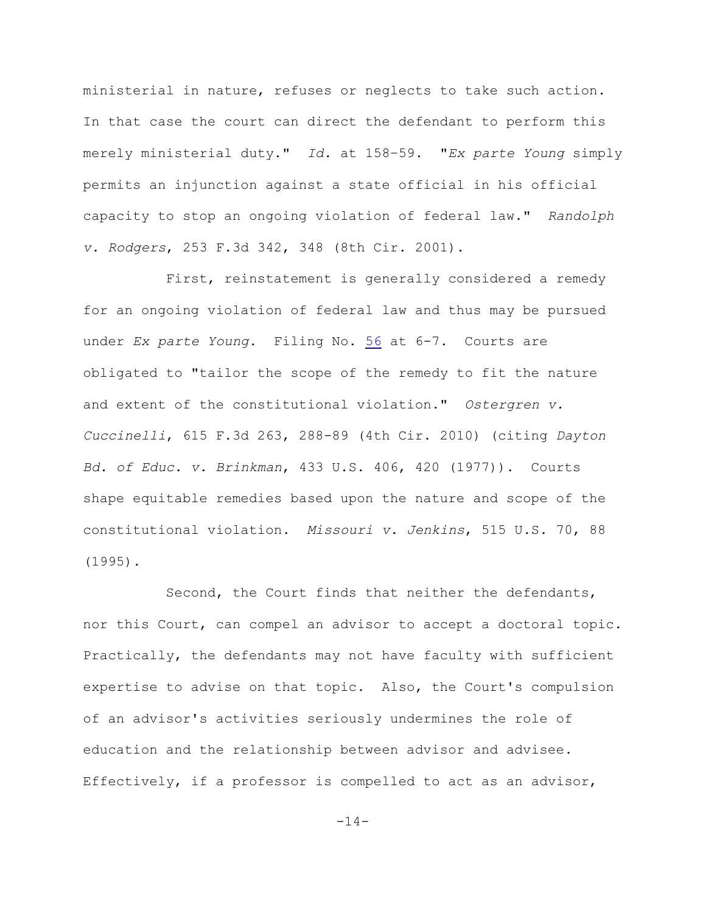ministerial in nature, refuses or neglects to take such action. In that case the court can direct the defendant to perform this merely ministerial duty." *Id.* at 158–59. "*Ex parte Young* simply permits an injunction against a state official in his official capacity to stop an ongoing violation of federal law." *Randolph v. Rodgers*, 253 F.3d 342, 348 (8th Cir. 2001).

First, reinstatement is generally considered a remedy for an ongoing violation of federal law and thus may be pursued under *Ex parte Young*. Filing No. [56](http://ecf.ned.uscourts.gov/doc1/11312740057) at 6-7. Courts are obligated to "tailor the scope of the remedy to fit the nature and extent of the constitutional violation." *Ostergren v. Cuccinelli*, 615 F.3d 263, 288-89 (4th Cir. 2010) (citing *Dayton Bd. of Educ. v. Brinkman*, 433 U.S. 406, 420 (1977)). Courts shape equitable remedies based upon the nature and scope of the constitutional violation. *Missouri v. Jenkins*, 515 U.S. 70, 88 (1995).

Second, the Court finds that neither the defendants, nor this Court, can compel an advisor to accept a doctoral topic. Practically, the defendants may not have faculty with sufficient expertise to advise on that topic. Also, the Court's compulsion of an advisor's activities seriously undermines the role of education and the relationship between advisor and advisee. Effectively, if a professor is compelled to act as an advisor,

 $-14-$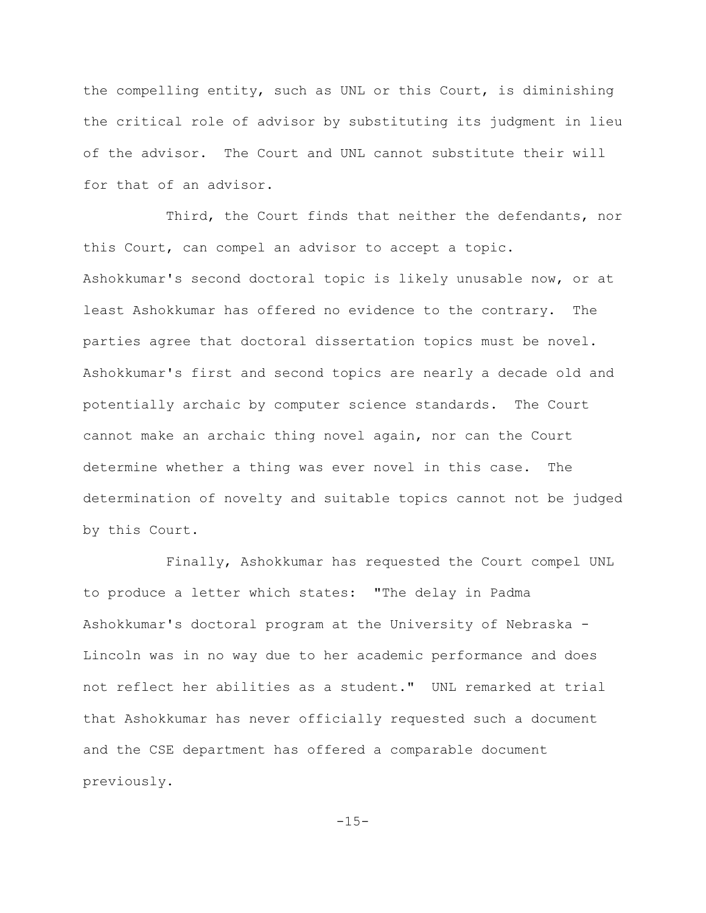the compelling entity, such as UNL or this Court, is diminishing the critical role of advisor by substituting its judgment in lieu of the advisor. The Court and UNL cannot substitute their will for that of an advisor.

Third, the Court finds that neither the defendants, nor this Court, can compel an advisor to accept a topic. Ashokkumar's second doctoral topic is likely unusable now, or at least Ashokkumar has offered no evidence to the contrary. The parties agree that doctoral dissertation topics must be novel. Ashokkumar's first and second topics are nearly a decade old and potentially archaic by computer science standards. The Court cannot make an archaic thing novel again, nor can the Court determine whether a thing was ever novel in this case. The determination of novelty and suitable topics cannot not be judged by this Court.

Finally, Ashokkumar has requested the Court compel UNL to produce a letter which states: "The delay in Padma Ashokkumar's doctoral program at the University of Nebraska - Lincoln was in no way due to her academic performance and does not reflect her abilities as a student." UNL remarked at trial that Ashokkumar has never officially requested such a document and the CSE department has offered a comparable document previously.

 $-15-$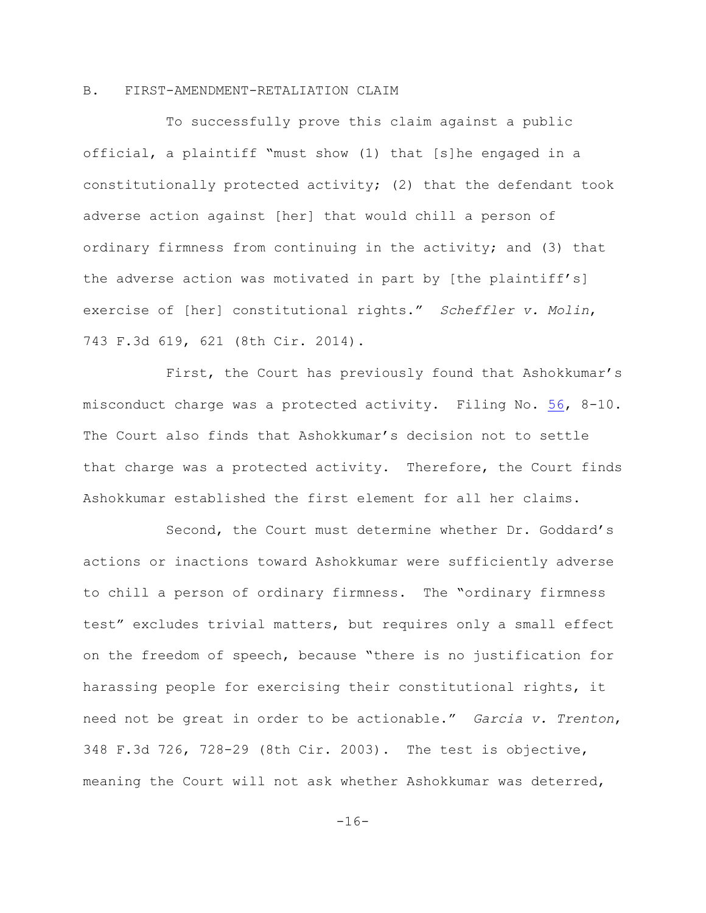# B. FIRST-AMENDMENT-RETALIATION CLAIM

To successfully prove this claim against a public official, a plaintiff "must show (1) that [s]he engaged in a constitutionally protected activity; (2) that the defendant took adverse action against [her] that would chill a person of ordinary firmness from continuing in the activity; and (3) that the adverse action was motivated in part by [the plaintiff's] exercise of [her] constitutional rights." *Scheffler v. Molin*, 743 F.3d 619, 621 (8th Cir. 2014).

First, the Court has previously found that Ashokkumar's misconduct charge was a protected activity. Filing No. [56](http://ecf.ned.uscourts.gov/doc1/11312740057), 8-10. The Court also finds that Ashokkumar's decision not to settle that charge was a protected activity. Therefore, the Court finds Ashokkumar established the first element for all her claims.

Second, the Court must determine whether Dr. Goddard's actions or inactions toward Ashokkumar were sufficiently adverse to chill a person of ordinary firmness. The "ordinary firmness test" excludes trivial matters, but requires only a small effect on the freedom of speech, because "there is no justification for harassing people for exercising their constitutional rights, it need not be great in order to be actionable." *Garcia v. Trenton*, 348 F.3d 726, 728-29 (8th Cir. 2003). The test is objective, meaning the Court will not ask whether Ashokkumar was deterred,

 $-16-$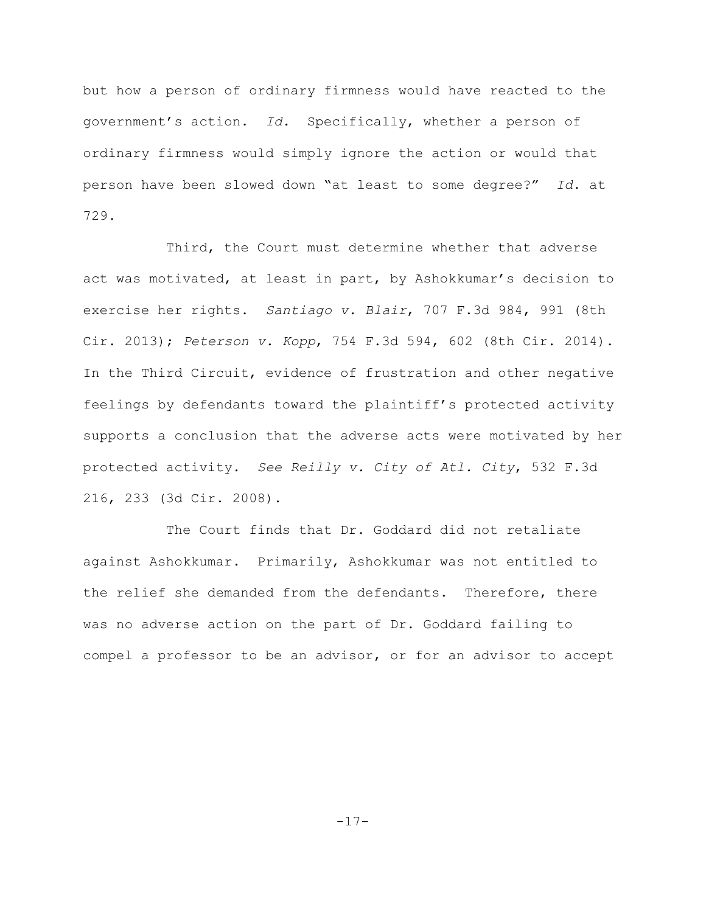but how a person of ordinary firmness would have reacted to the government's action. *Id.* Specifically, whether a person of ordinary firmness would simply ignore the action or would that person have been slowed down "at least to some degree?" *Id.* at 729.

Third, the Court must determine whether that adverse act was motivated, at least in part, by Ashokkumar's decision to exercise her rights. *Santiago v. Blair*, 707 F.3d 984, 991 (8th Cir. 2013); *Peterson v. Kopp*, 754 F.3d 594, 602 (8th Cir. 2014). In the Third Circuit, evidence of frustration and other negative feelings by defendants toward the plaintiff's protected activity supports a conclusion that the adverse acts were motivated by her protected activity. *See Reilly v. City of Atl. City*, 532 F.3d 216, 233 (3d Cir. 2008).

The Court finds that Dr. Goddard did not retaliate against Ashokkumar. Primarily, Ashokkumar was not entitled to the relief she demanded from the defendants. Therefore, there was no adverse action on the part of Dr. Goddard failing to compel a professor to be an advisor, or for an advisor to accept

 $-17-$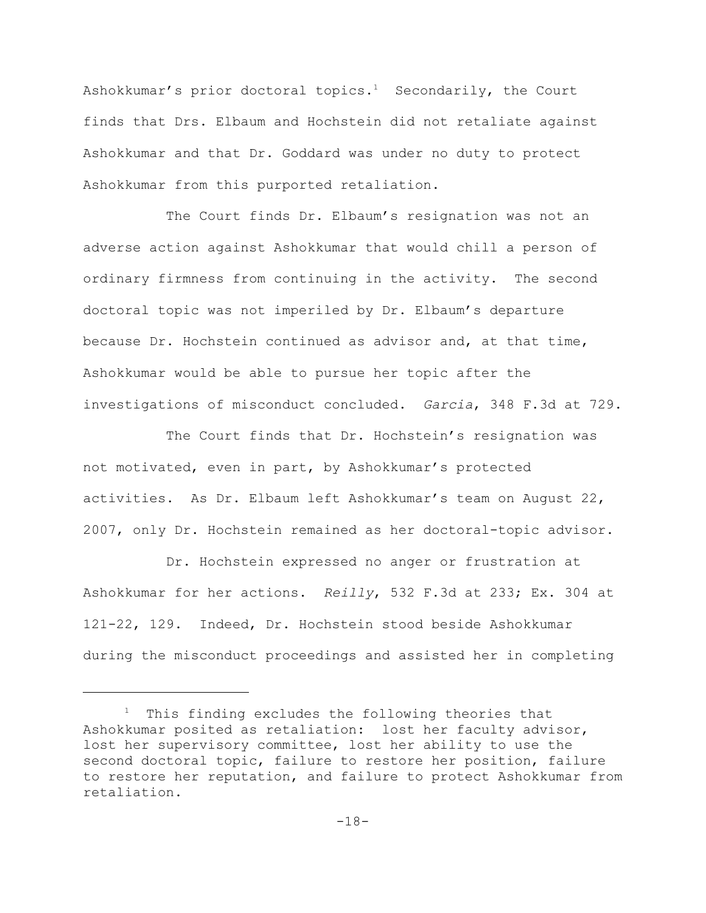Ashokkumar's prior doctoral topics.<sup>1</sup> Secondarily, the Court finds that Drs. Elbaum and Hochstein did not retaliate against Ashokkumar and that Dr. Goddard was under no duty to protect Ashokkumar from this purported retaliation.

The Court finds Dr. Elbaum's resignation was not an adverse action against Ashokkumar that would chill a person of ordinary firmness from continuing in the activity. The second doctoral topic was not imperiled by Dr. Elbaum's departure because Dr. Hochstein continued as advisor and, at that time, Ashokkumar would be able to pursue her topic after the investigations of misconduct concluded. *Garcia*, 348 F.3d at 729.

The Court finds that Dr. Hochstein's resignation was not motivated, even in part, by Ashokkumar's protected activities. As Dr. Elbaum left Ashokkumar's team on August 22, 2007, only Dr. Hochstein remained as her doctoral-topic advisor.

Dr. Hochstein expressed no anger or frustration at Ashokkumar for her actions. *Reilly*, 532 F.3d at 233; Ex. 304 at 121-22, 129. Indeed, Dr. Hochstein stood beside Ashokkumar during the misconduct proceedings and assisted her in completing

<sup>&</sup>lt;sup>1</sup> This finding excludes the following theories that Ashokkumar posited as retaliation: lost her faculty advisor, lost her supervisory committee, lost her ability to use the second doctoral topic, failure to restore her position, failure to restore her reputation, and failure to protect Ashokkumar from retaliation.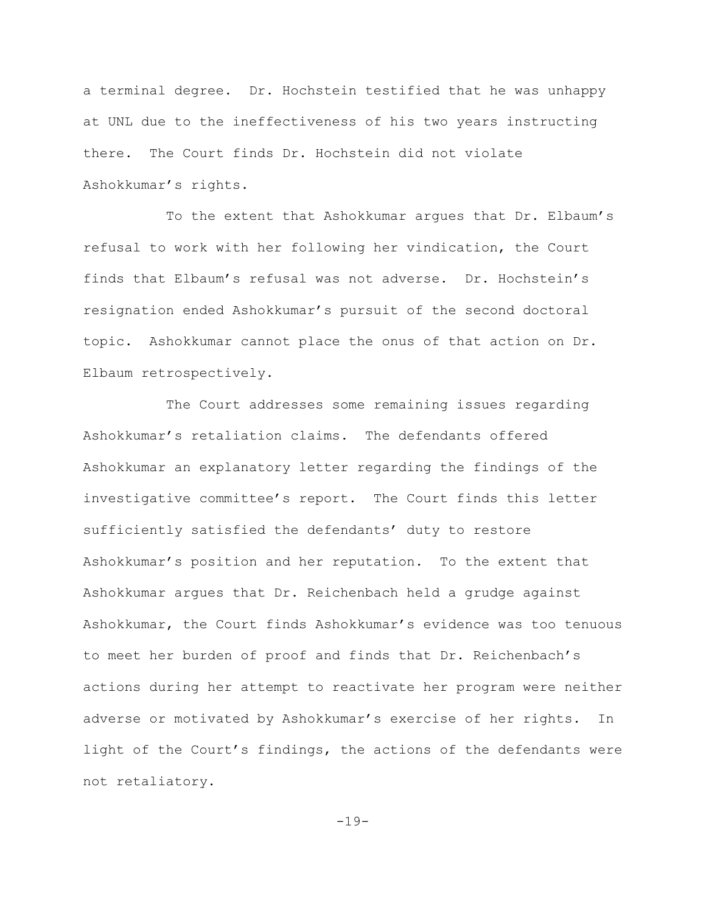a terminal degree. Dr. Hochstein testified that he was unhappy at UNL due to the ineffectiveness of his two years instructing there. The Court finds Dr. Hochstein did not violate Ashokkumar's rights.

To the extent that Ashokkumar argues that Dr. Elbaum's refusal to work with her following her vindication, the Court finds that Elbaum's refusal was not adverse. Dr. Hochstein's resignation ended Ashokkumar's pursuit of the second doctoral topic. Ashokkumar cannot place the onus of that action on Dr. Elbaum retrospectively.

The Court addresses some remaining issues regarding Ashokkumar's retaliation claims. The defendants offered Ashokkumar an explanatory letter regarding the findings of the investigative committee's report. The Court finds this letter sufficiently satisfied the defendants' duty to restore Ashokkumar's position and her reputation. To the extent that Ashokkumar argues that Dr. Reichenbach held a grudge against Ashokkumar, the Court finds Ashokkumar's evidence was too tenuous to meet her burden of proof and finds that Dr. Reichenbach's actions during her attempt to reactivate her program were neither adverse or motivated by Ashokkumar's exercise of her rights. In light of the Court's findings, the actions of the defendants were not retaliatory.

 $-19-$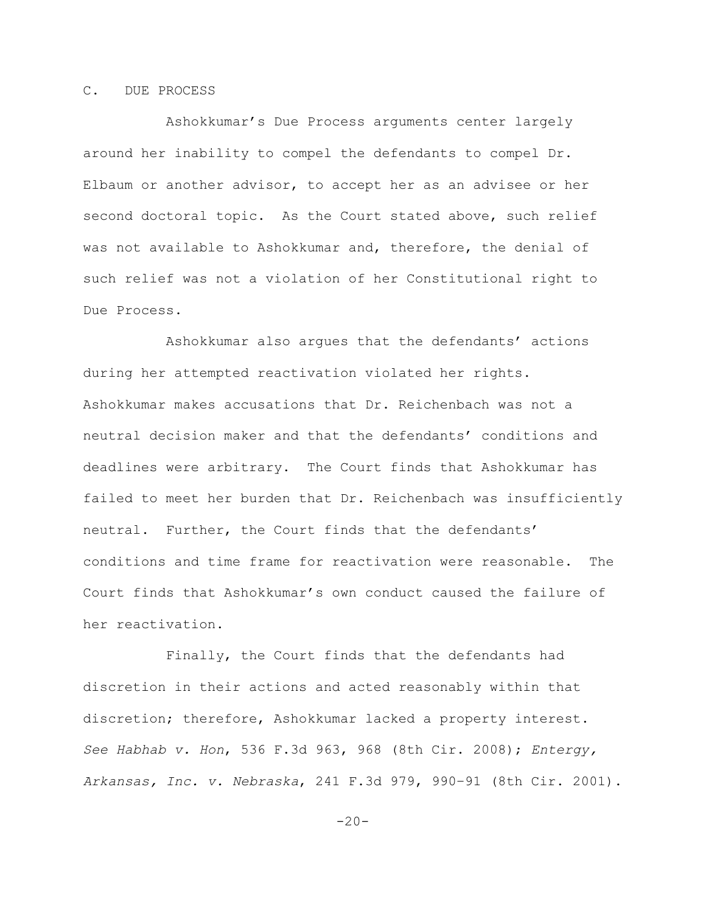# C. DUE PROCESS

Ashokkumar's Due Process arguments center largely around her inability to compel the defendants to compel Dr. Elbaum or another advisor, to accept her as an advisee or her second doctoral topic. As the Court stated above, such relief was not available to Ashokkumar and, therefore, the denial of such relief was not a violation of her Constitutional right to Due Process.

Ashokkumar also argues that the defendants' actions during her attempted reactivation violated her rights. Ashokkumar makes accusations that Dr. Reichenbach was not a neutral decision maker and that the defendants' conditions and deadlines were arbitrary. The Court finds that Ashokkumar has failed to meet her burden that Dr. Reichenbach was insufficiently neutral. Further, the Court finds that the defendants' conditions and time frame for reactivation were reasonable. The Court finds that Ashokkumar's own conduct caused the failure of her reactivation.

Finally, the Court finds that the defendants had discretion in their actions and acted reasonably within that discretion; therefore, Ashokkumar lacked a property interest. *See Habhab v. Hon*, 536 F.3d 963, 968 (8th Cir. 2008); *Entergy, Arkansas, Inc. v. Nebraska*, 241 F.3d 979, 990–91 (8th Cir. 2001).

 $-20-$